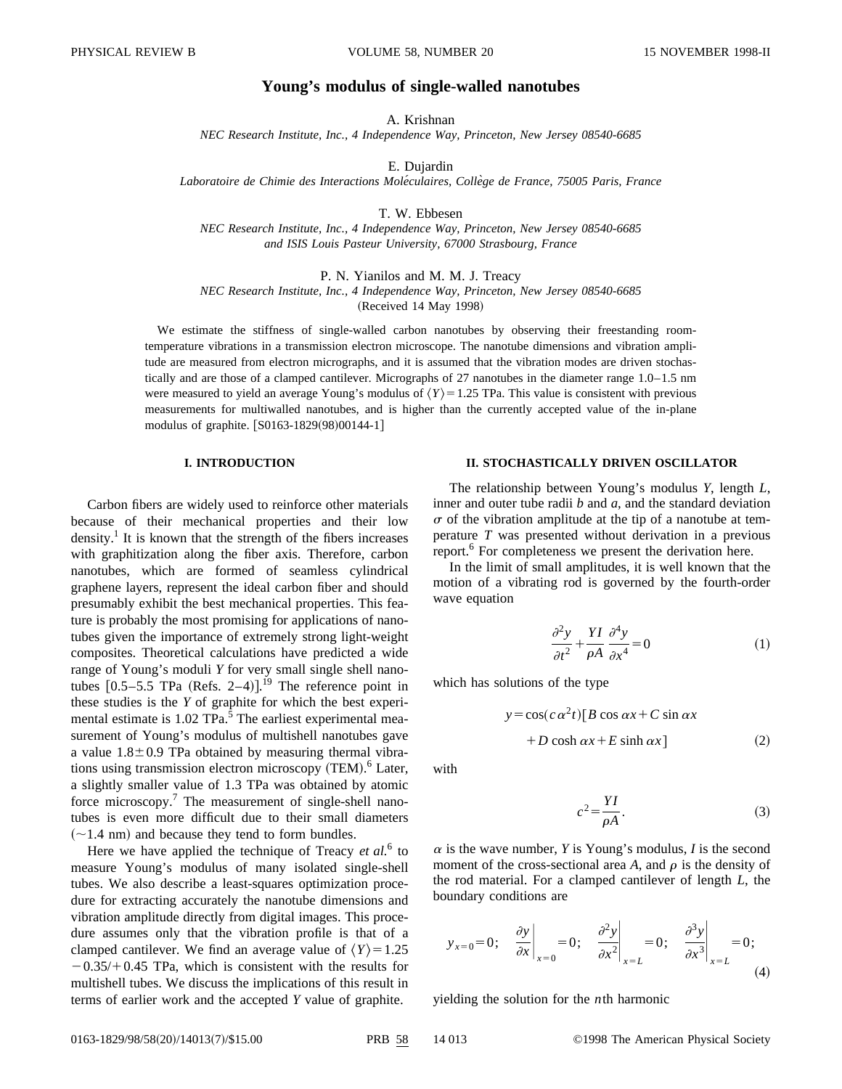# **Young's modulus of single-walled nanotubes**

A. Krishnan

*NEC Research Institute, Inc., 4 Independence Way, Princeton, New Jersey 08540-6685*

E. Dujardin

*Laboratoire de Chimie des Interactions Mole´culaires, Colle`ge de France, 75005 Paris, France*

T. W. Ebbesen

*NEC Research Institute, Inc., 4 Independence Way, Princeton, New Jersey 08540-6685 and ISIS Louis Pasteur University, 67000 Strasbourg, France*

P. N. Yianilos and M. M. J. Treacy *NEC Research Institute, Inc., 4 Independence Way, Princeton, New Jersey 08540-6685* (Received 14 May 1998)

We estimate the stiffness of single-walled carbon nanotubes by observing their freestanding roomtemperature vibrations in a transmission electron microscope. The nanotube dimensions and vibration amplitude are measured from electron micrographs, and it is assumed that the vibration modes are driven stochastically and are those of a clamped cantilever. Micrographs of 27 nanotubes in the diameter range 1.0–1.5 nm were measured to yield an average Young's modulus of  $\langle Y \rangle = 1.25$  TPa. This value is consistent with previous measurements for multiwalled nanotubes, and is higher than the currently accepted value of the in-plane modulus of graphite. [S0163-1829(98)00144-1]

#### **I. INTRODUCTION**

Carbon fibers are widely used to reinforce other materials because of their mechanical properties and their low density.<sup>1</sup> It is known that the strength of the fibers increases with graphitization along the fiber axis. Therefore, carbon nanotubes, which are formed of seamless cylindrical graphene layers, represent the ideal carbon fiber and should presumably exhibit the best mechanical properties. This feature is probably the most promising for applications of nanotubes given the importance of extremely strong light-weight composites. Theoretical calculations have predicted a wide range of Young's moduli *Y* for very small single shell nanotubes  $[0.5-5.5$  TPa (Refs. 2–4)].<sup>19</sup> The reference point in these studies is the *Y* of graphite for which the best experimental estimate is 1.02 TPa.<sup>5</sup> The earliest experimental measurement of Young's modulus of multishell nanotubes gave a value  $1.8\pm0.9$  TPa obtained by measuring thermal vibrations using transmission electron microscopy (TEM).<sup>6</sup> Later, a slightly smaller value of 1.3 TPa was obtained by atomic force microscopy.<sup>7</sup> The measurement of single-shell nanotubes is even more difficult due to their small diameters  $(-1.4 \text{ nm})$  and because they tend to form bundles.

Here we have applied the technique of Treacy *et al.*<sup>6</sup> to measure Young's modulus of many isolated single-shell tubes. We also describe a least-squares optimization procedure for extracting accurately the nanotube dimensions and vibration amplitude directly from digital images. This procedure assumes only that the vibration profile is that of a clamped cantilever. We find an average value of  $\langle Y \rangle = 1.25$  $-0.35/0.45$  TPa, which is consistent with the results for multishell tubes. We discuss the implications of this result in terms of earlier work and the accepted *Y* value of graphite.

# **II. STOCHASTICALLY DRIVEN OSCILLATOR**

The relationship between Young's modulus *Y*, length *L*, inner and outer tube radii *b* and *a*, and the standard deviation  $\sigma$  of the vibration amplitude at the tip of a nanotube at temperature *T* was presented without derivation in a previous report.<sup>6</sup> For completeness we present the derivation here.

In the limit of small amplitudes, it is well known that the motion of a vibrating rod is governed by the fourth-order wave equation

$$
\frac{\partial^2 y}{\partial t^2} + \frac{YI}{\rho A} \frac{\partial^4 y}{\partial x^4} = 0
$$
 (1)

which has solutions of the type

$$
y = \cos(c \alpha^{2} t) [B \cos \alpha x + C \sin \alpha x
$$
  
+ D \cosh \alpha x + E \sinh \alpha x] (2)

with

$$
c^2 = \frac{YI}{\rho A}.\tag{3}
$$

 $\alpha$  is the wave number, *Y* is Young's modulus, *I* is the second moment of the cross-sectional area  $A$ , and  $\rho$  is the density of the rod material. For a clamped cantilever of length *L*, the boundary conditions are

$$
y_{x=0} = 0; \quad \frac{\partial y}{\partial x}\bigg|_{x=0} = 0; \quad \frac{\partial^2 y}{\partial x^2}\bigg|_{x=L} = 0; \quad \frac{\partial^3 y}{\partial x^3}\bigg|_{x=L} = 0;
$$
\n(4)

yielding the solution for the *n*th harmonic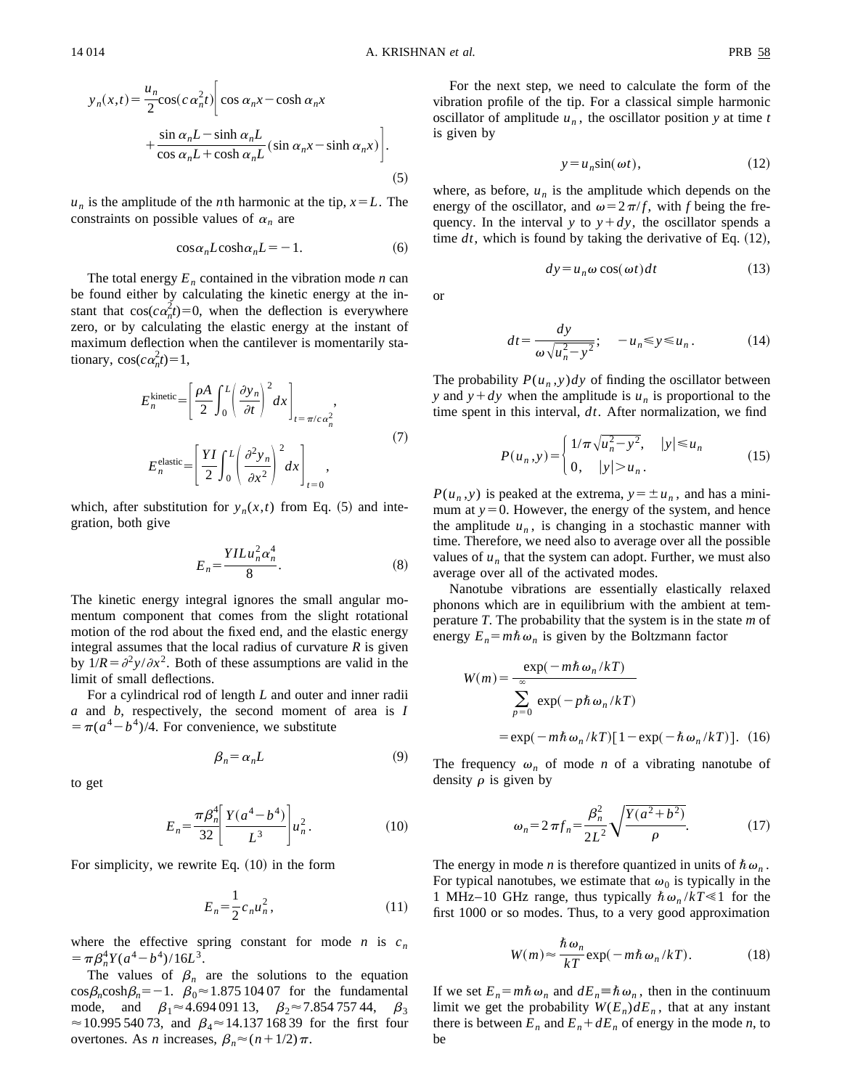$$
y_n(x,t) = \frac{u_n}{2} \cos(c \alpha_n^2 t) \Biggl[ \cos \alpha_n x - \cosh \alpha_n x + \frac{\sin \alpha_n L - \sinh \alpha_n L}{\cos \alpha_n L + \cosh \alpha_n L} (\sin \alpha_n x - \sinh \alpha_n x) \Biggr].
$$
\n(5)

 $u_n$  is the amplitude of the *n*th harmonic at the tip,  $x = L$ . The constraints on possible values of  $\alpha_n$  are

$$
\cos \alpha_n L \cosh \alpha_n L = -1. \tag{6}
$$

The total energy  $E_n$  contained in the vibration mode *n* can be found either by calculating the kinetic energy at the instant that  $cos(c\alpha_n^2 t) = 0$ , when the deflection is everywhere zero, or by calculating the elastic energy at the instant of maximum deflection when the cantilever is momentarily stationary,  $\cos(c\alpha_n^2 t) = 1$ ,

$$
E_n^{\text{kinetic}} = \left[ \frac{\rho A}{2} \int_0^L \left( \frac{\partial y_n}{\partial t} \right)^2 dx \right]_{t = \pi/c \alpha_n^2},
$$
  

$$
E_n^{\text{elastic}} = \left[ \frac{YI}{2} \int_0^L \left( \frac{\partial^2 y_n}{\partial x^2} \right)^2 dx \right]_{t=0},
$$
 (7)

which, after substitution for  $y_n(x,t)$  from Eq. (5) and integration, both give

$$
E_n = \frac{YILu_n^2\alpha_n^4}{8}.\tag{8}
$$

The kinetic energy integral ignores the small angular momentum component that comes from the slight rotational motion of the rod about the fixed end, and the elastic energy integral assumes that the local radius of curvature *R* is given by  $1/R = \partial^2 y / \partial x^2$ . Both of these assumptions are valid in the limit of small deflections.

For a cylindrical rod of length *L* and outer and inner radii *a* and *b*, respectively, the second moment of area is *I*  $=$   $\pi$ ( $a^4$  –  $b^4$ )/4. For convenience, we substitute

$$
\beta_n = \alpha_n L \tag{9}
$$

to get

$$
E_n = \frac{\pi \beta_n^4}{32} \left[ \frac{Y(a^4 - b^4)}{L^3} \right] u_n^2. \tag{10}
$$

For simplicity, we rewrite Eq.  $(10)$  in the form

$$
E_n = \frac{1}{2} c_n u_n^2, \tag{11}
$$

where the effective spring constant for mode *n* is  $c_n$  $= \pi \beta_n^4 Y (a^4 - b^4)/16L^3$ .

The values of  $\beta_n$  are the solutions to the equation  $\cos\beta_n \cosh\beta_n = -1$ .  $\beta_0 \approx 1.875$  104 07 for the fundamental mode, and  $\beta_1 \approx 4.694\,091\,13$ ,  $\beta_2 \approx 7.854\,757\,44$ ,  $\beta_3$  $\approx$  10.995 540 73, and  $\beta_4 \approx$  14.137 168 39 for the first four overtones. As *n* increases,  $\beta_n \approx (n+1/2)\pi$ .

For the next step, we need to calculate the form of the vibration profile of the tip. For a classical simple harmonic oscillator of amplitude  $u_n$ , the oscillator position *y* at time *t* is given by

$$
y = u_n \sin(\omega t),\tag{12}
$$

where, as before,  $u_n$  is the amplitude which depends on the energy of the oscillator, and  $\omega = 2\pi/f$ , with *f* being the frequency. In the interval *y* to  $y + dy$ , the oscillator spends a time  $dt$ , which is found by taking the derivative of Eq.  $(12)$ ,

$$
dy = u_n \omega \cos(\omega t) dt \qquad (13)
$$

or

$$
dt = \frac{dy}{\omega \sqrt{u_n^2 - y^2}}; \quad -u_n \le y \le u_n. \tag{14}
$$

The probability  $P(u_n, y) dy$  of finding the oscillator between *y* and  $y + dy$  when the amplitude is  $u_n$  is proportional to the time spent in this interval, *dt*. After normalization, we find

$$
P(u_n, y) = \begin{cases} 1/\pi \sqrt{u_n^2 - y^2}, & |y| \le u_n \\ 0, & |y| > u_n. \end{cases}
$$
 (15)

 $P(u_n, y)$  is peaked at the extrema,  $y = \pm u_n$ , and has a minimum at  $y=0$ . However, the energy of the system, and hence the amplitude  $u_n$ , is changing in a stochastic manner with time. Therefore, we need also to average over all the possible values of  $u_n$  that the system can adopt. Further, we must also average over all of the activated modes.

Nanotube vibrations are essentially elastically relaxed phonons which are in equilibrium with the ambient at temperature *T*. The probability that the system is in the state *m* of energy  $E_n = m\hbar \omega_n$  is given by the Boltzmann factor

$$
W(m) = \frac{\exp(-m\hbar\omega_n/kT)}{\sum_{p=0}^{\infty} \exp(-p\hbar\omega_n/kT)}
$$
  
=  $\exp(-m\hbar\omega_n/kT)[1 - \exp(-\hbar\omega_n/kT)].$  (16)

The frequency  $\omega_n$  of mode *n* of a vibrating nanotube of density  $\rho$  is given by

$$
\omega_n = 2 \pi f_n = \frac{\beta_n^2}{2L^2} \sqrt{\frac{Y(a^2 + b^2)}{\rho}}.
$$
 (17)

The energy in mode *n* is therefore quantized in units of  $\hbar \omega_n$ . For typical nanotubes, we estimate that  $\omega_0$  is typically in the 1 MHz–10 GHz range, thus typically  $\hbar \omega_n / kT \le 1$  for the first 1000 or so modes. Thus, to a very good approximation

$$
W(m) \approx \frac{\hbar \,\omega_n}{kT} \exp(-m\hbar \,\omega_n/kT). \tag{18}
$$

If we set  $E_n = m\hbar \omega_n$  and  $dE_n = \hbar \omega_n$ , then in the continuum limit we get the probability  $W(E_n) dE_n$ , that at any instant there is between  $E_n$  and  $E_n + dE_n$  of energy in the mode *n*, to be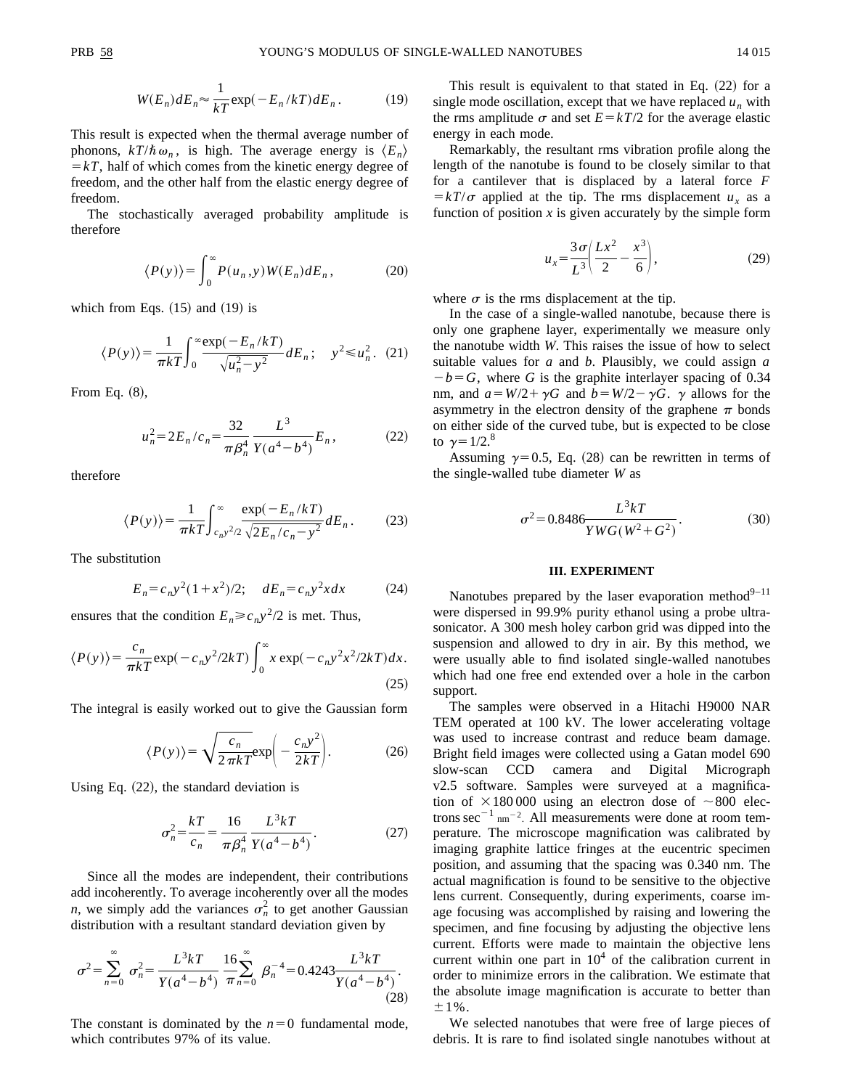$$
W(E_n)dE_n \approx \frac{1}{kT} \exp(-E_n/kT)dE_n.
$$
 (19)

This result is expected when the thermal average number of phonons,  $k/\hbar \omega_n$ , is high. The average energy is  $\langle E_n \rangle$  $=kT$ , half of which comes from the kinetic energy degree of freedom, and the other half from the elastic energy degree of freedom.

The stochastically averaged probability amplitude is therefore

$$
\langle P(y) \rangle = \int_0^\infty P(u_n, y) W(E_n) dE_n, \tag{20}
$$

which from Eqs.  $(15)$  and  $(19)$  is

$$
\langle P(y) \rangle = \frac{1}{\pi kT} \int_0^\infty \frac{\exp(-E_n/kT)}{\sqrt{u_n^2 - y^2}} dE_n; \quad y^2 \le u_n^2. \tag{21}
$$

From Eq.  $(8)$ ,

$$
u_n^2 = 2E_n/c_n = \frac{32}{\pi \beta_n^4} \frac{L^3}{Y(a^4 - b^4)} E_n, \qquad (22)
$$

therefore

$$
\langle P(y) \rangle = \frac{1}{\pi kT} \int_{c_n y^2/2}^{\infty} \frac{\exp(-E_n/kT)}{\sqrt{2E_n/c_n - y^2}} dE_n. \tag{23}
$$

The substitution

$$
E_n = c_n y^2 (1 + x^2)/2; \quad dE_n = c_n y^2 x dx \tag{24}
$$

ensures that the condition  $E_n \ge c_n y^2/2$  is met. Thus,

$$
\langle P(y) \rangle = \frac{c_n}{\pi kT} \exp(-c_n y^2 / 2kT) \int_0^\infty x \exp(-c_n y^2 x^2 / 2kT) dx.
$$
\n(25)

The integral is easily worked out to give the Gaussian form

$$
\langle P(y) \rangle = \sqrt{\frac{c_n}{2 \pi k T}} \exp\left(-\frac{c_n y^2}{2kT}\right). \tag{26}
$$

Using Eq.  $(22)$ , the standard deviation is

$$
\sigma_n^2 = \frac{kT}{c_n} = \frac{16}{\pi \beta_n^4} \frac{L^3 kT}{Y(a^4 - b^4)}.
$$
 (27)

Since all the modes are independent, their contributions add incoherently. To average incoherently over all the modes *n*, we simply add the variances  $\sigma_n^2$  to get another Gaussian distribution with a resultant standard deviation given by

$$
\sigma^2 = \sum_{n=0}^{\infty} \sigma_n^2 = \frac{L^3 kT}{Y(a^4 - b^4)} \frac{16}{\pi} \sum_{n=0}^{\infty} \beta_n^{-4} = 0.4243 \frac{L^3 kT}{Y(a^4 - b^4)}.
$$
\n(28)

The constant is dominated by the  $n=0$  fundamental mode, which contributes 97% of its value.

This result is equivalent to that stated in Eq.  $(22)$  for a single mode oscillation, except that we have replaced  $u_n$  with the rms amplitude  $\sigma$  and set  $E = kT/2$  for the average elastic energy in each mode.

Remarkably, the resultant rms vibration profile along the length of the nanotube is found to be closely similar to that for a cantilever that is displaced by a lateral force *F*  $\frac{\partial f}{\partial x} = kT/\sigma$  applied at the tip. The rms displacement *u<sub>x</sub>* as a function of position  $x$  is given accurately by the simple form

$$
u_x = \frac{3\sigma}{L^3} \left( \frac{Lx^2}{2} - \frac{x^3}{6} \right),
$$
 (29)

where  $\sigma$  is the rms displacement at the tip.

In the case of a single-walled nanotube, because there is only one graphene layer, experimentally we measure only the nanotube width *W*. This raises the issue of how to select suitable values for *a* and *b*. Plausibly, we could assign *a*  $-b = G$ , where *G* is the graphite interlayer spacing of 0.34 nm, and  $a = W/2 + \gamma G$  and  $b = W/2 - \gamma G$ .  $\gamma$  allows for the asymmetry in the electron density of the graphene  $\pi$  bonds on either side of the curved tube, but is expected to be close to  $\gamma = 1/2$ .<sup>8</sup>

Assuming  $\gamma=0.5$ , Eq. (28) can be rewritten in terms of the single-walled tube diameter *W* as

$$
\sigma^2 = 0.8486 \frac{L^3 kT}{YWG(W^2 + G^2)}.
$$
\n(30)

### **III. EXPERIMENT**

Nanotubes prepared by the laser evaporation method<sup>9–11</sup> were dispersed in 99.9% purity ethanol using a probe ultrasonicator. A 300 mesh holey carbon grid was dipped into the suspension and allowed to dry in air. By this method, we were usually able to find isolated single-walled nanotubes which had one free end extended over a hole in the carbon support.

The samples were observed in a Hitachi H9000 NAR TEM operated at 100 kV. The lower accelerating voltage was used to increase contrast and reduce beam damage. Bright field images were collected using a Gatan model 690 slow-scan CCD camera and Digital Micrograph v2.5 software. Samples were surveyed at a magnification of  $\times$ 180 000 using an electron dose of  $\sim$ 800 electrons  $\sec^{-1}$  nm<sup>-2</sup>. All measurements were done at room temperature. The microscope magnification was calibrated by imaging graphite lattice fringes at the eucentric specimen position, and assuming that the spacing was 0.340 nm. The actual magnification is found to be sensitive to the objective lens current. Consequently, during experiments, coarse image focusing was accomplished by raising and lowering the specimen, and fine focusing by adjusting the objective lens current. Efforts were made to maintain the objective lens current within one part in  $10<sup>4</sup>$  of the calibration current in order to minimize errors in the calibration. We estimate that the absolute image magnification is accurate to better than  $\pm 1\%$ .

We selected nanotubes that were free of large pieces of debris. It is rare to find isolated single nanotubes without at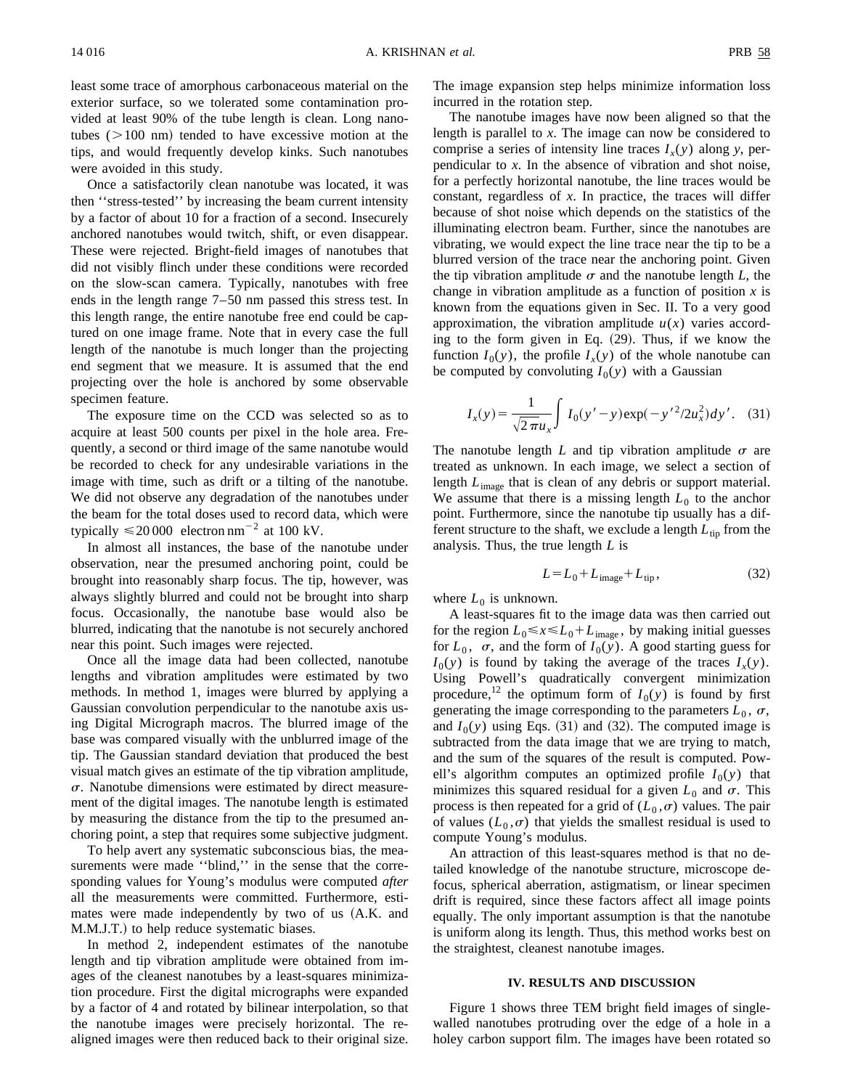least some trace of amorphous carbonaceous material on the exterior surface, so we tolerated some contamination provided at least 90% of the tube length is clean. Long nanotubes  $(>100 \text{ nm})$  tended to have excessive motion at the tips, and would frequently develop kinks. Such nanotubes were avoided in this study.

Once a satisfactorily clean nanotube was located, it was then ''stress-tested'' by increasing the beam current intensity by a factor of about 10 for a fraction of a second. Insecurely anchored nanotubes would twitch, shift, or even disappear. These were rejected. Bright-field images of nanotubes that did not visibly flinch under these conditions were recorded on the slow-scan camera. Typically, nanotubes with free ends in the length range 7–50 nm passed this stress test. In this length range, the entire nanotube free end could be captured on one image frame. Note that in every case the full length of the nanotube is much longer than the projecting end segment that we measure. It is assumed that the end projecting over the hole is anchored by some observable specimen feature.

The exposure time on the CCD was selected so as to acquire at least 500 counts per pixel in the hole area. Frequently, a second or third image of the same nanotube would be recorded to check for any undesirable variations in the image with time, such as drift or a tilting of the nanotube. We did not observe any degradation of the nanotubes under the beam for the total doses used to record data, which were typically  $\leq 20000$  electron nm<sup>-2</sup> at 100 kV.

In almost all instances, the base of the nanotube under observation, near the presumed anchoring point, could be brought into reasonably sharp focus. The tip, however, was always slightly blurred and could not be brought into sharp focus. Occasionally, the nanotube base would also be blurred, indicating that the nanotube is not securely anchored near this point. Such images were rejected.

Once all the image data had been collected, nanotube lengths and vibration amplitudes were estimated by two methods. In method 1, images were blurred by applying a Gaussian convolution perpendicular to the nanotube axis using Digital Micrograph macros. The blurred image of the base was compared visually with the unblurred image of the tip. The Gaussian standard deviation that produced the best visual match gives an estimate of the tip vibration amplitude,  $\sigma$ . Nanotube dimensions were estimated by direct measurement of the digital images. The nanotube length is estimated by measuring the distance from the tip to the presumed anchoring point, a step that requires some subjective judgment.

To help avert any systematic subconscious bias, the measurements were made "blind," in the sense that the corresponding values for Young's modulus were computed *after* all the measurements were committed. Furthermore, estimates were made independently by two of us (A.K. and M.M.J.T.) to help reduce systematic biases.

In method 2, independent estimates of the nanotube length and tip vibration amplitude were obtained from images of the cleanest nanotubes by a least-squares minimization procedure. First the digital micrographs were expanded by a factor of 4 and rotated by bilinear interpolation, so that the nanotube images were precisely horizontal. The realigned images were then reduced back to their original size. The image expansion step helps minimize information loss incurred in the rotation step.

The nanotube images have now been aligned so that the length is parallel to *x*. The image can now be considered to comprise a series of intensity line traces  $I_x(y)$  along *y*, perpendicular to *x*. In the absence of vibration and shot noise, for a perfectly horizontal nanotube, the line traces would be constant, regardless of *x*. In practice, the traces will differ because of shot noise which depends on the statistics of the illuminating electron beam. Further, since the nanotubes are vibrating, we would expect the line trace near the tip to be a blurred version of the trace near the anchoring point. Given the tip vibration amplitude  $\sigma$  and the nanotube length *L*, the change in vibration amplitude as a function of position *x* is known from the equations given in Sec. II. To a very good approximation, the vibration amplitude  $u(x)$  varies according to the form given in Eq.  $(29)$ . Thus, if we know the function  $I_0(y)$ , the profile  $I_x(y)$  of the whole nanotube can be computed by convoluting  $I_0(y)$  with a Gaussian

$$
I_x(y) = \frac{1}{\sqrt{2\pi}u_x} \int I_0(y'-y) \exp(-y'^2/2u_x^2) dy'.
$$
 (31)

The nanotube length *L* and tip vibration amplitude  $\sigma$  are treated as unknown. In each image, we select a section of length *L*image that is clean of any debris or support material. We assume that there is a missing length  $L_0$  to the anchor point. Furthermore, since the nanotube tip usually has a different structure to the shaft, we exclude a length  $L_{\text{tip}}$  from the analysis. Thus, the true length *L* is

$$
L = L_0 + L_{\text{image}} + L_{\text{tip}},\tag{32}
$$

where  $L_0$  is unknown.

A least-squares fit to the image data was then carried out for the region  $L_0 \le x \le L_0 + L_{\text{image}}$ , by making initial guesses for  $L_0$ ,  $\sigma$ , and the form of  $I_0(y)$ . A good starting guess for  $I_0(y)$  is found by taking the average of the traces  $I_x(y)$ . Using Powell's quadratically convergent minimization procedure,<sup>12</sup> the optimum form of  $I_0(y)$  is found by first generating the image corresponding to the parameters  $L_0$ ,  $\sigma$ , and  $I_0(y)$  using Eqs. (31) and (32). The computed image is subtracted from the data image that we are trying to match, and the sum of the squares of the result is computed. Powell's algorithm computes an optimized profile  $I_0(y)$  that minimizes this squared residual for a given  $L_0$  and  $\sigma$ . This process is then repeated for a grid of  $(L_0, \sigma)$  values. The pair of values  $(L_0, \sigma)$  that yields the smallest residual is used to compute Young's modulus.

An attraction of this least-squares method is that no detailed knowledge of the nanotube structure, microscope defocus, spherical aberration, astigmatism, or linear specimen drift is required, since these factors affect all image points equally. The only important assumption is that the nanotube is uniform along its length. Thus, this method works best on the straightest, cleanest nanotube images.

#### **IV. RESULTS AND DISCUSSION**

Figure 1 shows three TEM bright field images of singlewalled nanotubes protruding over the edge of a hole in a holey carbon support film. The images have been rotated so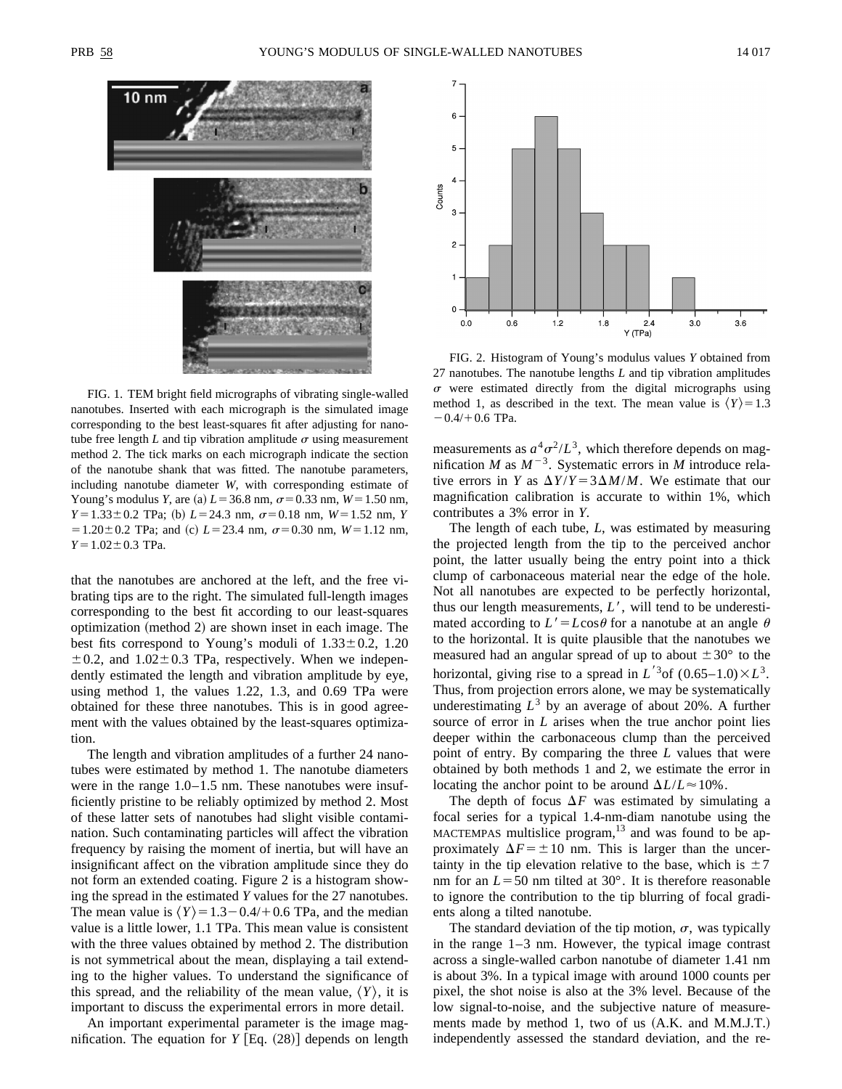

FIG. 1. TEM bright field micrographs of vibrating single-walled nanotubes. Inserted with each micrograph is the simulated image corresponding to the best least-squares fit after adjusting for nanotube free length  $L$  and tip vibration amplitude  $\sigma$  using measurement method 2. The tick marks on each micrograph indicate the section of the nanotube shank that was fitted. The nanotube parameters, including nanotube diameter *W*, with corresponding estimate of Young's modulus *Y*, are (a)  $L = 36.8$  nm,  $\sigma = 0.33$  nm,  $W = 1.50$  nm,  $Y = 1.33 \pm 0.2$  TPa; (b)  $L = 24.3$  nm,  $\sigma = 0.18$  nm,  $W = 1.52$  nm, *Y*  $=1.20 \pm 0.2$  TPa; and (c)  $L=23.4$  nm,  $\sigma=0.30$  nm,  $W=1.12$  nm,  $Y=1.02\pm0.3$  TPa.

that the nanotubes are anchored at the left, and the free vibrating tips are to the right. The simulated full-length images corresponding to the best fit according to our least-squares optimization (method 2) are shown inset in each image. The best fits correspond to Young's moduli of  $1.33 \pm 0.2$ , 1.20  $\pm 0.2$ , and  $1.02 \pm 0.3$  TPa, respectively. When we independently estimated the length and vibration amplitude by eye, using method 1, the values 1.22, 1.3, and 0.69 TPa were obtained for these three nanotubes. This is in good agreement with the values obtained by the least-squares optimization.

The length and vibration amplitudes of a further 24 nanotubes were estimated by method 1. The nanotube diameters were in the range 1.0–1.5 nm. These nanotubes were insufficiently pristine to be reliably optimized by method 2. Most of these latter sets of nanotubes had slight visible contamination. Such contaminating particles will affect the vibration frequency by raising the moment of inertia, but will have an insignificant affect on the vibration amplitude since they do not form an extended coating. Figure 2 is a histogram showing the spread in the estimated *Y* values for the 27 nanotubes. The mean value is  $\langle Y \rangle = 1.3 - 0.4/0.6$  TPa, and the median value is a little lower, 1.1 TPa. This mean value is consistent with the three values obtained by method 2. The distribution is not symmetrical about the mean, displaying a tail extending to the higher values. To understand the significance of this spread, and the reliability of the mean value,  $\langle Y \rangle$ , it is important to discuss the experimental errors in more detail.

An important experimental parameter is the image magnification. The equation for  $Y$  [Eq.  $(28)$ ] depends on length



FIG. 2. Histogram of Young's modulus values *Y* obtained from 27 nanotubes. The nanotube lengths *L* and tip vibration amplitudes  $\sigma$  were estimated directly from the digital micrographs using method 1, as described in the text. The mean value is  $\langle Y \rangle = 1.3$  $-0.4/+0.6$  TPa.

measurements as  $a^4\sigma^2/L^3$ , which therefore depends on magnification *M* as  $M^{-3}$ . Systematic errors in *M* introduce relative errors in *Y* as  $\Delta Y/Y = 3\Delta M/M$ . We estimate that our magnification calibration is accurate to within 1%, which contributes a 3% error in *Y*.

The length of each tube, *L*, was estimated by measuring the projected length from the tip to the perceived anchor point, the latter usually being the entry point into a thick clump of carbonaceous material near the edge of the hole. Not all nanotubes are expected to be perfectly horizontal, thus our length measurements,  $L'$ , will tend to be underestimated according to  $L' = L \cos \theta$  for a nanotube at an angle  $\theta$ to the horizontal. It is quite plausible that the nanotubes we measured had an angular spread of up to about  $\pm 30^{\circ}$  to the horizontal, giving rise to a spread in  $L^{3}$  of  $(0.65-1.0) \times L^{3}$ . Thus, from projection errors alone, we may be systematically underestimating  $L^3$  by an average of about 20%. A further source of error in *L* arises when the true anchor point lies deeper within the carbonaceous clump than the perceived point of entry. By comparing the three *L* values that were obtained by both methods 1 and 2, we estimate the error in locating the anchor point to be around  $\Delta L/L \approx 10\%$ .

The depth of focus  $\Delta F$  was estimated by simulating a focal series for a typical 1.4-nm-diam nanotube using the  $M$ ACTEMPAS multislice program,<sup>13</sup> and was found to be approximately  $\Delta F = \pm 10$  nm. This is larger than the uncertainty in the tip elevation relative to the base, which is  $\pm 7$ nm for an  $L = 50$  nm tilted at  $30^{\circ}$ . It is therefore reasonable to ignore the contribution to the tip blurring of focal gradients along a tilted nanotube.

The standard deviation of the tip motion,  $\sigma$ , was typically in the range 1–3 nm. However, the typical image contrast across a single-walled carbon nanotube of diameter 1.41 nm is about 3%. In a typical image with around 1000 counts per pixel, the shot noise is also at the 3% level. Because of the low signal-to-noise, and the subjective nature of measurements made by method 1, two of us  $(A.K.$  and  $M.M.J.T.)$ independently assessed the standard deviation, and the re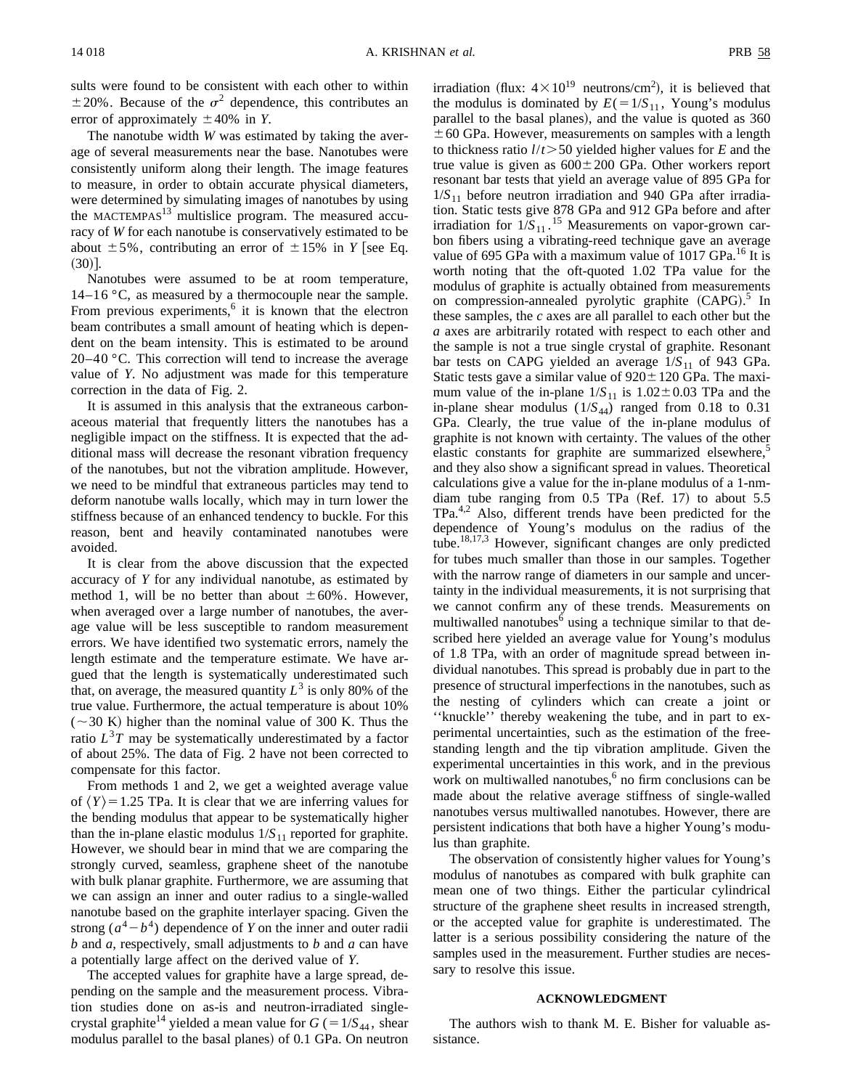sults were found to be consistent with each other to within  $\pm 20\%$ . Because of the  $\sigma^2$  dependence, this contributes an error of approximately  $\pm 40\%$  in *Y*.

The nanotube width *W* was estimated by taking the average of several measurements near the base. Nanotubes were consistently uniform along their length. The image features to measure, in order to obtain accurate physical diameters, were determined by simulating images of nanotubes by using the  $M$ ACTEMPAS $^{13}$  multislice program. The measured accuracy of *W* for each nanotube is conservatively estimated to be about  $\pm 5\%$ , contributing an error of  $\pm 15\%$  in *Y* [see Eq.  $(30)$ ].

Nanotubes were assumed to be at room temperature,  $14-16$  °C, as measured by a thermocouple near the sample. From previous experiments,<sup>6</sup> it is known that the electron beam contributes a small amount of heating which is dependent on the beam intensity. This is estimated to be around  $20-40$  °C. This correction will tend to increase the average value of *Y*. No adjustment was made for this temperature correction in the data of Fig. 2.

It is assumed in this analysis that the extraneous carbonaceous material that frequently litters the nanotubes has a negligible impact on the stiffness. It is expected that the additional mass will decrease the resonant vibration frequency of the nanotubes, but not the vibration amplitude. However, we need to be mindful that extraneous particles may tend to deform nanotube walls locally, which may in turn lower the stiffness because of an enhanced tendency to buckle. For this reason, bent and heavily contaminated nanotubes were avoided.

It is clear from the above discussion that the expected accuracy of *Y* for any individual nanotube, as estimated by method 1, will be no better than about  $\pm 60\%$ . However, when averaged over a large number of nanotubes, the average value will be less susceptible to random measurement errors. We have identified two systematic errors, namely the length estimate and the temperature estimate. We have argued that the length is systematically underestimated such that, on average, the measured quantity  $L^3$  is only 80% of the true value. Furthermore, the actual temperature is about 10%  $(-30 \text{ K})$  higher than the nominal value of 300 K. Thus the ratio  $L<sup>3</sup>T$  may be systematically underestimated by a factor of about 25%. The data of Fig. 2 have not been corrected to compensate for this factor.

From methods 1 and 2, we get a weighted average value of  $\langle Y \rangle$  = 1.25 TPa. It is clear that we are inferring values for the bending modulus that appear to be systematically higher than the in-plane elastic modulus  $1/S_{11}$  reported for graphite. However, we should bear in mind that we are comparing the strongly curved, seamless, graphene sheet of the nanotube with bulk planar graphite. Furthermore, we are assuming that we can assign an inner and outer radius to a single-walled nanotube based on the graphite interlayer spacing. Given the strong  $(a^4-b^4)$  dependence of *Y* on the inner and outer radii *b* and *a*, respectively, small adjustments to *b* and *a* can have a potentially large affect on the derived value of *Y*.

The accepted values for graphite have a large spread, depending on the sample and the measurement process. Vibration studies done on as-is and neutron-irradiated singlecrystal graphite<sup>14</sup> yielded a mean value for  $G = 1/S_{44}$ , shear modulus parallel to the basal planes) of 0.1 GPa. On neutron

irradiation (flux:  $4 \times 10^{19}$  neutrons/cm<sup>2</sup>), it is believed that the modulus is dominated by  $E(=1/S_{11}$ , Young's modulus parallel to the basal planes), and the value is quoted as  $360$  $\pm$  60 GPa. However, measurements on samples with a length to thickness ratio  $l/t$  > 50 yielded higher values for *E* and the true value is given as  $600 \pm 200$  GPa. Other workers report resonant bar tests that yield an average value of 895 GPa for  $1/S_{11}$  before neutron irradiation and 940 GPa after irradiation. Static tests give 878 GPa and 912 GPa before and after irradiation for  $1/S_{11}$ .<sup>15</sup> Measurements on vapor-grown carbon fibers using a vibrating-reed technique gave an average value of 695 GPa with a maximum value of 1017 GPa.<sup>16</sup> It is worth noting that the oft-quoted 1.02 TPa value for the modulus of graphite is actually obtained from measurements on compression-annealed pyrolytic graphite (CAPG).<sup>5</sup> In these samples, the *c* axes are all parallel to each other but the *a* axes are arbitrarily rotated with respect to each other and the sample is not a true single crystal of graphite. Resonant bar tests on CAPG yielded an average  $1/S_{11}$  of 943 GPa. Static tests gave a similar value of  $920 \pm 120$  GPa. The maximum value of the in-plane  $1/S_{11}$  is  $1.02 \pm 0.03$  TPa and the in-plane shear modulus  $(1/S_{44})$  ranged from 0.18 to 0.31 GPa. Clearly, the true value of the in-plane modulus of graphite is not known with certainty. The values of the other elastic constants for graphite are summarized elsewhere,<sup>5</sup> and they also show a significant spread in values. Theoretical calculations give a value for the in-plane modulus of a 1-nmdiam tube ranging from  $0.5$  TPa (Ref. 17) to about  $5.5$ TPa.<sup>4,2</sup> Also, different trends have been predicted for the dependence of Young's modulus on the radius of the tube.18,17,3 However, significant changes are only predicted for tubes much smaller than those in our samples. Together with the narrow range of diameters in our sample and uncertainty in the individual measurements, it is not surprising that we cannot confirm any of these trends. Measurements on multiwalled nanotubes $<sup>6</sup>$  using a technique similar to that de-</sup> scribed here yielded an average value for Young's modulus of 1.8 TPa, with an order of magnitude spread between individual nanotubes. This spread is probably due in part to the presence of structural imperfections in the nanotubes, such as the nesting of cylinders which can create a joint or ''knuckle'' thereby weakening the tube, and in part to experimental uncertainties, such as the estimation of the freestanding length and the tip vibration amplitude. Given the experimental uncertainties in this work, and in the previous work on multiwalled nanotubes, $6$  no firm conclusions can be made about the relative average stiffness of single-walled nanotubes versus multiwalled nanotubes. However, there are persistent indications that both have a higher Young's modulus than graphite.

The observation of consistently higher values for Young's modulus of nanotubes as compared with bulk graphite can mean one of two things. Either the particular cylindrical structure of the graphene sheet results in increased strength, or the accepted value for graphite is underestimated. The latter is a serious possibility considering the nature of the samples used in the measurement. Further studies are necessary to resolve this issue.

### **ACKNOWLEDGMENT**

The authors wish to thank M. E. Bisher for valuable assistance.